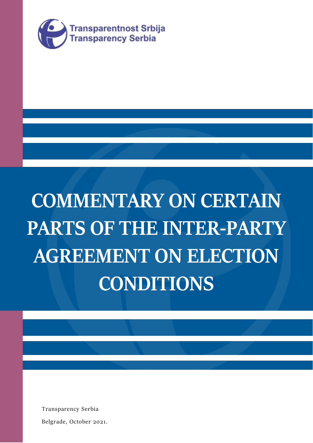

# **COMMENTARY ON CERTAIN PARTS OF THE INTER-PARTY AGREEMENT ON ELECTION CONDITIONS**

Transparency Serbia

Belgrade, October 2021.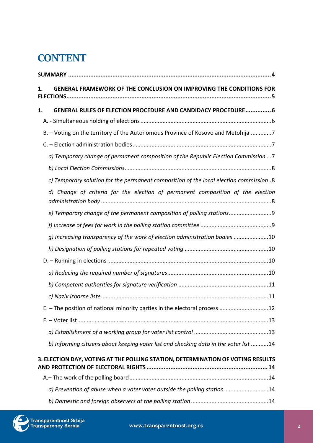# **CONTENT**

| 1. | GENERAL FRAMEWORK OF THE CONCLUSION ON IMPROVING THE CONDITIONS FOR                   |  |
|----|---------------------------------------------------------------------------------------|--|
| 1. | <b>GENERAL RULES OF ELECTION PROCEDURE AND CANDIDACY PROCEDURE 6</b>                  |  |
|    |                                                                                       |  |
|    | B. - Voting on the territory of the Autonomous Province of Kosovo and Metohija 7      |  |
|    |                                                                                       |  |
|    | a) Temporary change of permanent composition of the Republic Election Commission  7   |  |
|    |                                                                                       |  |
|    | c) Temporary solution for the permanent composition of the local election commission8 |  |
|    | Change of criteria for the election of permanent composition of the election          |  |
|    | e) Temporary change of the permanent composition of polling stations9                 |  |
|    |                                                                                       |  |
|    | g) Increasing transparency of the work of election administration bodies 10           |  |
|    |                                                                                       |  |
|    |                                                                                       |  |
|    |                                                                                       |  |
|    |                                                                                       |  |
|    |                                                                                       |  |
|    | E. - The position of national minority parties in the electoral process 12            |  |
|    |                                                                                       |  |
|    |                                                                                       |  |
|    | b) Informing citizens about keeping voter list and checking data in the voter list 14 |  |
|    | 3. ELECTION DAY, VOTING AT THE POLLING STATION, DETERMINATION OF VOTING RESULTS       |  |
|    |                                                                                       |  |
|    | a) Prevention of abuse when a voter votes outside the polling station14               |  |
|    |                                                                                       |  |

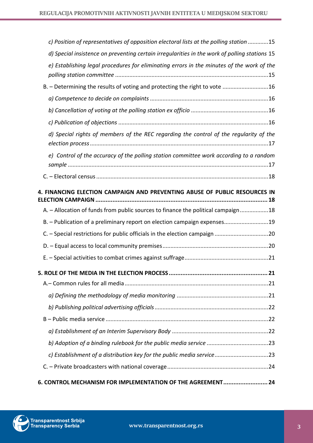| c) Position of representatives of opposition electoral lists at the polling station 15        |  |  |
|-----------------------------------------------------------------------------------------------|--|--|
| d) Special insistence on preventing certain irregularities in the work of polling stations 15 |  |  |
| e) Establishing legal procedures for eliminating errors in the minutes of the work of the     |  |  |
| B. - Determining the results of voting and protecting the right to vote 16                    |  |  |
|                                                                                               |  |  |
|                                                                                               |  |  |
|                                                                                               |  |  |
| d) Special rights of members of the REC regarding the control of the regularity of the        |  |  |
| e) Control of the accuracy of the polling station committee work according to a random        |  |  |
|                                                                                               |  |  |
| 4. FINANCING ELECTION CAMPAIGN AND PREVENTING ABUSE OF PUBLIC RESOURCES IN                    |  |  |
| A. - Allocation of funds from public sources to finance the political campaign18              |  |  |
| B. - Publication of a preliminary report on election campaign expenses19                      |  |  |
|                                                                                               |  |  |
|                                                                                               |  |  |
|                                                                                               |  |  |
|                                                                                               |  |  |
|                                                                                               |  |  |
|                                                                                               |  |  |
|                                                                                               |  |  |
|                                                                                               |  |  |
|                                                                                               |  |  |
|                                                                                               |  |  |
| c) Establishment of a distribution key for the public media service23                         |  |  |
|                                                                                               |  |  |
| 6. CONTROL MECHANISM FOR IMPLEMENTATION OF THE AGREEMENT 24                                   |  |  |

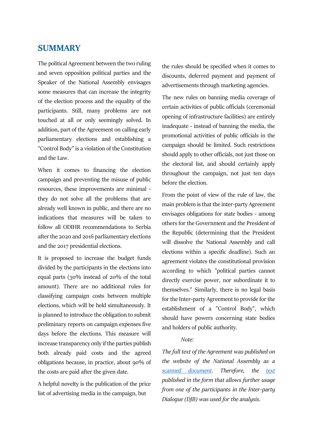# <span id="page-3-0"></span>**SUMMARY**

The political Agreement between the two ruling and seven opposition political parties and the Speaker of the National Assembly envisages some measures that can increase the integrity of the election process and the equality of the participants. Still, many problems are not touched at all or only seemingly solved. In addition, part of the Agreement on calling early parliamentary elections and establishing a "Control Body" is a violation of the Constitution and the Law.

When it comes to financing the election campaign and preventing the misuse of public resources, these improvements are minimal they do not solve all the problems that are already well known in public, and there are no indications that measures will be taken to follow all ODIHR recommendations to Serbia after the 2020 and 2016 parliamentary elections and the 2017 presidential elections.

It is proposed to increase the budget funds divided by the participants in the elections into equal parts (30% instead of 20% of the total amount). There are no additional rules for classifying campaign costs between multiple elections, which will be held simultaneously. It is planned to introduce the obligation to submit preliminary reports on campaign expenses five days before the elections. This measure will increase transparency only if the parties publish both already paid costs and the agreed obligations because, in practice, about 90% of the costs are paid after the given date.

A helpful novelty is the publication of the price list of advertising media in the campaign, but

the rules should be specified when it comes to discounts, deferred payment and payment of advertisements through marketing agencies.

The new rules on banning media coverage of certain activities of public officials (ceremonial opening of infrastructure facilities) are entirely inadequate - instead of banning the media, the promotional activities of public officials in the campaign should be limited. Such restrictions should apply to other officials, not just those on the electoral list, and should certainly apply throughout the campaign, not just ten days before the election.

From the point of view of the rule of law, the main problem is that the inter-party Agreement envisages obligations for state bodies - among others for the Government and the President of the Republic (determining that the President will dissolve the National Assembly and call elections within a specific deadline). Such an agreement violates the constitutional provision according to which "political parties cannot directly exercise power, nor subordinate it to themselves." Similarly, there is no legal basis for the Inter-party Agreement to provide for the establishment of a "Control Body", which should have powers concerning state bodies and holders of public authority.

#### *Note:*

*The full text of the Agreement was published on the website of the National Assembly as a [scanned document.](http://www.parlament.gov.rs/upload/documents/dokumenta/013-217_21_Sporuum.pdf) Therefore, the [text](http://www.parlament.gov.rs/upload/documents/dokumenta/013-217_21_Sporazum.pdf) published in the form that allows further usage from one of the participants in the Inter-party Dialogue (DJB) was used for the analysis.*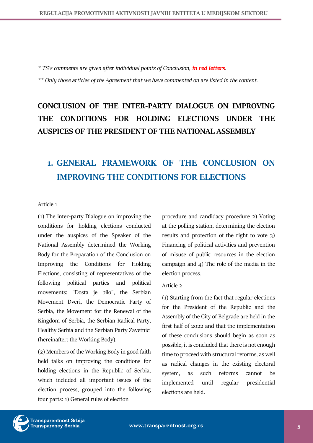*\* TS's comments are given after individual points of Conclusion, in red letters.* 

*\*\* Only those articles of the Agreement that we have commented on are listed in the content.*

# **CONCLUSION OF THE INTER-PARTY DIALOGUE ON IMPROVING THE CONDITIONS FOR HOLDING ELECTIONS UNDER THE AUSPICES OF THE PRESIDENT OF THE NATIONAL ASSEMBLY**

# <span id="page-4-0"></span>**1. GENERAL FRAMEWORK OF THE CONCLUSION ON IMPROVING THE CONDITIONS FOR ELECTIONS**

# Article 1

(1) The inter-party Dialogue on improving the conditions for holding elections conducted under the auspices of the Speaker of the National Assembly determined the Working Body for the Preparation of the Conclusion on Improving the Conditions for Holding Elections, consisting of representatives of the following political parties and political movements: "Dosta je bilo", the Serbian Movement Dveri, the Democratic Party of Serbia, the Movement for the Renewal of the Kingdom of Serbia, the Serbian Radical Party, Healthy Serbia and the Serbian Party Zavetnici (hereinafter: the Working Body).

(2) Members of the Working Body in good faith held talks on improving the conditions for holding elections in the Republic of Serbia, which included all important issues of the election process, grouped into the following four parts: 1) General rules of election

procedure and candidacy procedure 2) Voting at the polling station, determining the election results and protection of the right to vote 3) Financing of political activities and prevention of misuse of public resources in the election campaign and 4) The role of the media in the election process.

#### Article 2

(1) Starting from the fact that regular elections for the President of the Republic and the Assembly of the City of Belgrade are held in the first half of 2022 and that the implementation of these conclusions should begin as soon as possible, it is concluded that there is not enough time to proceed with structural reforms, as well as radical changes in the existing electoral system, as such reforms cannot be implemented until regular presidential elections are held.

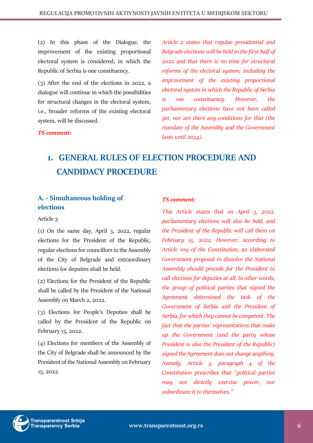(2) In this phase of the Dialogue, the improvement of the existing proportional electoral system is considered, in which the Republic of Serbia is one constituency.

(3) After the end of the elections in 2022, a dialogue will continue in which the possibilities for structural changes in the electoral system, i.e., broader reforms of the existing electoral system, will be discussed.

*TS comment:*

*Article 2 states that regular presidential and Belgrade elections will be held in the first half of 2022 and that there is no time for structural reforms of the electoral system, including the improvement of the existing proportional electoral system in which the Republic of Serbia is one constituency. However, the parliamentary elections have not been called yet, nor are there any conditions for that (the mandate of the Assembly and the Government lasts until 2024).*

# <span id="page-5-0"></span>**1. GENERAL RULES OF ELECTION PROCEDURE AND CANDIDACY PROCEDURE**

# <span id="page-5-1"></span>**A. - Simultaneous holding of elections**

# Article 3

(1) On the same day, April 3, 2022, regular elections for the President of the Republic, regular elections for councillors in the Assembly of the City of Belgrade and extraordinary elections for deputies shall be held.

(2) Elections for the President of the Republic shall be called by the President of the National Assembly on March 2, 2022.

(3) Elections for People's Deputies shall be called by the President of the Republic on February 15, 2022.

(4) Elections for members of the Assembly of the City of Belgrade shall be announced by the President of the National Assembly on February 15, 2022.

# *TS comment:*

*This Article states that on April 3, 2022. parliamentary elections will also be held, and the President of the Republic will call them on February 15, 2022. However, according to Article 109 of the Constitution, an elaborated Government proposal to dissolve the National Assembly should precede for the President to call elections for deputies at all. In other words, the group of political parties that signed the Agreement determined the task of the Government of Serbia and the President of Serbia, for which they cannot be competent. The fact that the parties' representatives that make up the Government (and the party whose President is also the President of the Republic) signed the Agreement does not change anything. Namely, Article 5, paragraph 4 of the Constitution prescribes that "political parties may not directly exercise power, nor subordinate it to themselves."* 

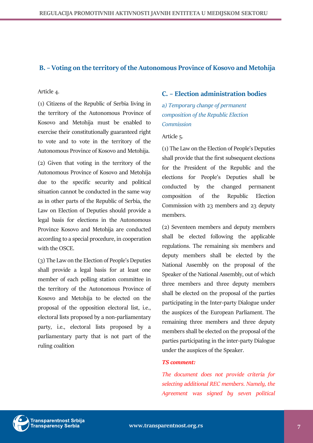# <span id="page-6-0"></span>**B. – Voting on the territory of the Autonomous Province of Kosovo and Metohija**

#### Article 4.

(1) Citizens of the Republic of Serbia living in the territory of the Autonomous Province of Kosovo and Metohija must be enabled to exercise their constitutionally guaranteed right to vote and to vote in the territory of the Autonomous Province of Kosovo and Metohija.

(2) Given that voting in the territory of the Autonomous Province of Kosovo and Metohija due to the specific security and political situation cannot be conducted in the same way as in other parts of the Republic of Serbia, the Law on Election of Deputies should provide a legal basis for elections in the Autonomous Province Kosovo and Metohija are conducted according to a special procedure, in cooperation with the OSCE.

(3) The Law on the Election of People's Deputies shall provide a legal basis for at least one member of each polling station committee in the territory of the Autonomous Province of Kosovo and Metohija to be elected on the proposal of the opposition electoral list, i.e., electoral lists proposed by a non-parliamentary party, i.e., electoral lists proposed by a parliamentary party that is not part of the ruling coalition

# <span id="page-6-1"></span>**C. – Election administration bodies**

<span id="page-6-2"></span>*a) Temporary change of permanent composition of the Republic Election Commission*

#### Article 5.

(1) The Law on the Election of People's Deputies shall provide that the first subsequent elections for the President of the Republic and the elections for People's Deputies shall be conducted by the changed permanent composition of the Republic Election Commission with 23 members and 23 deputy members.

(2) Seventeen members and deputy members shall be elected following the applicable regulations. The remaining six members and deputy members shall be elected by the National Assembly on the proposal of the Speaker of the National Assembly, out of which three members and three deputy members shall be elected on the proposal of the parties participating in the Inter-party Dialogue under the auspices of the European Parliament. The remaining three members and three deputy members shall be elected on the proposal of the parties participating in the inter-party Dialogue under the auspices of the Speaker.

#### *TS comment:*

*The document does not provide criteria for selecting additional REC members. Namely, the Agreement was signed by seven political* 

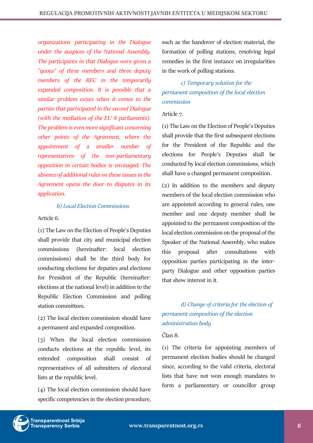*organizations participating in the Dialogue under the auspices of the National Assembly. The participants in that Dialogue were given a "quota" of three members and three deputy members of the REC in the temporarily expanded composition. It is possible that a similar problem exists when it comes to the parties that participated in the second Dialogue (with the mediation of the EU 8 parliaments). The problem is even more significant concerning other points of the Agreement, where the appointment of a smaller number of representatives of the non-parliamentary opposition in certain bodies is envisaged. The absence of additional rules on these issues in the Agreement opens the door to disputes in its application.*

# *b) Local Election Commissions*

# <span id="page-7-0"></span>Article 6.

(1) The Law on the Election of People's Deputies shall provide that city and municipal election commissions (hereinafter: local election commissions) shall be the third body for conducting elections for deputies and elections for President of the Republic (hereinafter: elections at the national level) in addition to the Republic Election Commission and polling station committees.

(2) The local election commission should have a permanent and expanded composition.

(3) When the local election commission conducts elections at the republic level, its extended composition shall consist of representatives of all submitters of electoral lists at the republic level.

(4) The local election commission should have specific competencies in the election procedure,

such as the handover of election material, the formation of polling stations, resolving legal remedies in the first instance on irregularities in the work of polling stations.

# <span id="page-7-1"></span>*c) Temporary solution for the permanent composition of the local election commission*

# Article 7.

(1) The Law on the Election of People's Deputies shall provide that the first subsequent elections for the President of the Republic and the elections for People's Deputies shall be conducted by local election commissions, which shall have a changed permanent composition.

(2) In addition to the members and deputy members of the local election commission who are appointed according to general rules, one member and one deputy member shall be appointed to the permanent composition of the local election commission on the proposal of the Speaker of the National Assembly, who makes this proposal after consultations with opposition parties participating in the interparty Dialogue and other opposition parties that show interest in it.

# <span id="page-7-2"></span>*d) Change of criteria for the election of permanent composition of the election administration body*

# Član 8.

(1) The criteria for appointing members of permanent election bodies should be changed since, according to the valid criteria, electoral lists that have not won enough mandates to form a parliamentary or councillor group

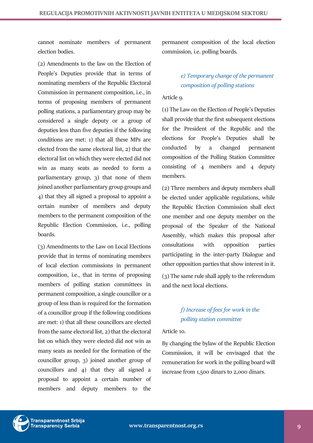cannot nominate members of permanent election bodies.

(2) Amendments to the law on the Election of People's Deputies provide that in terms of nominating members of the Republic Electoral Commission in permanent composition, i.e., in terms of proposing members of permanent polling stations, a parliamentary group may be considered a single deputy or a group of deputies less than five deputies if the following conditions are met: 1) that all these MPs are elected from the same electoral list, 2) that the electoral list on which they were elected did not win as many seats as needed to form a parliamentary group, 3) that none of them joined another parliamentary group groups and 4) that they all signed a proposal to appoint a certain number of members and deputy members to the permanent composition of the Republic Election Commission, i.e., polling boards.

(3) Amendments to the Law on Local Elections provide that in terms of nominating members of local election commissions in permanent composition, i.e., that in terms of proposing members of polling station committees in permanent composition, a single councillor or a group of less than is required for the formation of a councillor group if the following conditions are met: 1) that all these councillors are elected from the same electoral list, 2) that the electoral list on which they were elected did not win as many seats as needed for the formation of the councillor group, 3) joined another group of councillors and 4) that they all signed a proposal to appoint a certain number of members and deputy members to the

permanent composition of the local election commission, i.e. polling boards.

# <span id="page-8-0"></span>*e) Temporary change of the permanent composition of polling stations*

#### Article 9.

(1) The Law on the Election of People's Deputies shall provide that the first subsequent elections for the President of the Republic and the elections for People's Deputies shall be conducted by a changed permanent composition of the Polling Station Committee consisting of 4 members and 4 deputy members.

(2) Three members and deputy members shall be elected under applicable regulations, while the Republic Election Commission shall elect one member and one deputy member on the proposal of the Speaker of the National Assembly, which makes this proposal after consultations with opposition parties participating in the inter-party Dialogue and other opposition parties that show interest in it.

(3) The same rule shall apply to the referendum and the next local elections.

# <span id="page-8-1"></span>*f) Increase of fees for work in the polling station committee*

#### Article 10.

By changing the bylaw of the Republic Election Commission, it will be envisaged that the remuneration for work in the polling board will increase from 1,500 dinars to 2,000 dinars.

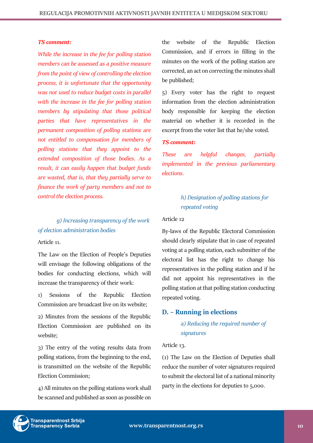#### *TS comment:*

*While the increase in the fee for polling station members can be assessed as a positive measure from the point of view of controlling the election process, it is unfortunate that the opportunity was not used to reduce budget costs in parallel with the increase in the fee for polling station members by stipulating that those political parties that have representatives in the permanent composition of polling stations are not entitled to compensation for members of polling stations that they appoint to the extended composition of those bodies. As a result, it can easily happen that budget funds are wasted, that is, that they partially serve to finance the work of party members and not to control the election process.*

# <span id="page-9-0"></span>*g) Increasing transparency of the work of election administration bodies*

Article 11.

The Law on the Election of People's Deputies will envisage the following obligations of the bodies for conducting elections, which will increase the transparency of their work:

1) Sessions of the Republic Election Commission are broadcast live on its website;

2) Minutes from the sessions of the Republic Election Commission are published on its website;

3) The entry of the voting results data from polling stations, from the beginning to the end, is transmitted on the website of the Republic Election Commission;

4) All minutes on the polling stations work shall be scanned and published as soon as possible on

the website of the Republic Election Commission, and if errors in filling in the minutes on the work of the polling station are corrected, an act on correcting the minutes shall be published;

5) Every voter has the right to request information from the election administration body responsible for keeping the election material on whether it is recorded in the excerpt from the voter list that he/she voted.

#### *TS comment:*

*These are helpful changes, partially implemented in the previous parliamentary elections.*

# <span id="page-9-1"></span>*h) Designation of polling stations for repeated voting*

#### Article 12

By-laws of the Republic Electoral Commission should clearly stipulate that in case of repeated voting at a polling station, each submitter of the electoral list has the right to change his representatives in the polling station and if he did not appoint his representatives in the polling station at that polling station conducting repeated voting.

# <span id="page-9-3"></span><span id="page-9-2"></span>**D. – Running in elections**

*a) Reducing the required number of signatures*

#### Article 13.

(1) The Law on the Election of Deputies shall reduce the number of voter signatures required to submit the electoral list of a national minority party in the elections for deputies to 5,000.

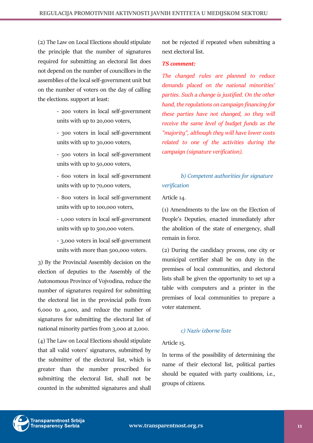(2) The Law on Local Elections should stipulate the principle that the number of signatures required for submitting an electoral list does not depend on the number of councillors in the assemblies of the local self-government unit but on the number of voters on the day of calling the elections. support at least:

> - 200 voters in local self-government units with up to 20,000 voters,

> - 300 voters in local self-government units with up to 30,000 voters,

> - 500 voters in local self-government units with up to 50,000 voters,

> - 600 voters in local self-government units with up to 70,000 voters,

> - 800 voters in local self-government units with up to 100,000 voters,

> - 1,000 voters in local self-government units with up to 500,000 voters.

> - 3,000 voters in local self-government units with more than 500,000 voters.

3) By the Provincial Assembly decision on the election of deputies to the Assembly of the Autonomous Province of Vojvodina, reduce the number of signatures required for submitting the electoral list in the provincial polls from 6,000 to 4,000, and reduce the number of signatures for submitting the electoral list of national minority parties from 3,000 at 2,000.

(4) The Law on Local Elections should stipulate that all valid voters' signatures, submitted by the submitter of the electoral list, which is greater than the number prescribed for submitting the electoral list, shall not be counted in the submitted signatures and shall

not be rejected if repeated when submitting a next electoral list.

#### *TS comment:*

*The changed rules are planned to reduce demands placed on the national minorities' parties. Such a change is justified. On the other hand, the regulations on campaign financing for these parties have not changed, so they will receive the same level of budget funds as the "majority", although they will have lower costs related to one of the activities during the campaign (signature verification).*

# <span id="page-10-0"></span>*b) Competent authorities for signature verification*

#### Article 14.

(1) Amendments to the law on the Election of People's Deputies, enacted immediately after the abolition of the state of emergency, shall remain in force.

(2) During the candidacy process, one city or municipal certifier shall be on duty in the premises of local communities, and electoral lists shall be given the opportunity to set up a table with computers and a printer in the premises of local communities to prepare a voter statement.

# *c) Naziv izborne liste*

#### <span id="page-10-1"></span>Article 15.

In terms of the possibility of determining the name of their electoral list, political parties should be equated with party coalitions, i.e., groups of citizens.

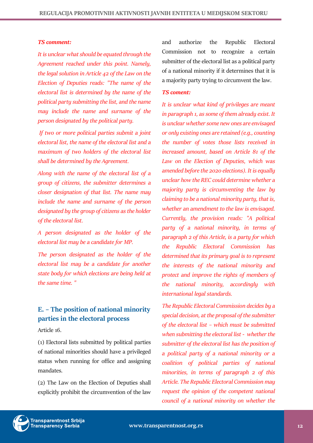#### *TS comment:*

*It is unclear what should be equated through the Agreement reached under this point. Namely, the legal solution in Article 42 of the Law on the Election of Deputies reads: "The name of the electoral list is determined by the name of the political party submitting the list, and the name may include the name and surname of the person designated by the political party.*

*If two or more political parties submit a joint electoral list, the name of the electoral list and a maximum of two holders of the electoral list shall be determined by the Agreement.*

*Along with the name of the electoral list of a group of citizens, the submitter determines a closer designation of that list. The name may include the name and surname of the person designated by the group of citizens as the holder of the electoral list.*

*A person designated as the holder of the electoral list may be a candidate for MP.*

*The person designated as the holder of the electoral list may be a candidate for another state body for which elections are being held at the same time. "*

# <span id="page-11-0"></span>**E. – The position of national minority parties in the electoral process**

Article 16.

(1) Electoral lists submitted by political parties of national minorities should have a privileged status when running for office and assigning mandates.

(2) The Law on the Election of Deputies shall explicitly prohibit the circumvention of the law

and authorize the Republic Electoral Commission not to recognize a certain submitter of the electoral list as a political party of a national minority if it determines that it is a majority party trying to circumvent the law.

#### *TS coment:*

*It is unclear what kind of privileges are meant in paragraph 1, as some of them already exist. It is unclear whether some new ones are envisaged or only existing ones are retained (e.g., counting the number of votes those lists received in increased amount, based on Article 81 of the Law on the Election of Deputies, which was amended before the 2020 elections). It is equally unclear how the REC could determine whether a majority party is circumventing the law by claiming to be a national minority party, that is, whether an amendment to the law is envisaged. Currently, the provision reads: "A political party of a national minority, in terms of paragraph 2 of this Article, is a party for which the Republic Electoral Commission has determined that its primary goal is to represent the interests of the national minority and protect and improve the rights of members of the national minority, accordingly with international legal standards.* 

*The Republic Electoral Commission decides by a special decision, at the proposal of the submitter of the electoral list – which must be submitted when submitting the electoral list - whether the submitter of the electoral list has the position of a political party of a national minority or a coalition of political parties of national minorities, in terms of paragraph 2 of this Article. The Republic Electoral Commission may request the opinion of the competent national council of a national minority on whether the* 

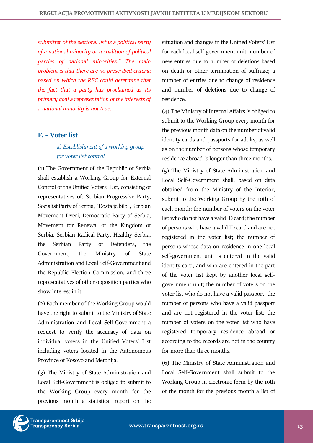*submitter of the electoral list is a political party of a national minority or a coalition of political parties of national minorities." The main problem is that there are no prescribed criteria based on which the REC could determine that the fact that a party has proclaimed as its primary goal a representation of the interests of a national minority is not true.*

# <span id="page-12-1"></span><span id="page-12-0"></span>**F. – Voter list**

# *a) Establishment of a working group for voter list control*

(1) The Government of the Republic of Serbia shall establish a Working Group for External Control of the Unified Voters' List, consisting of representatives of: Serbian Progressive Party, Socialist Party of Serbia, "Dosta je bilo", Serbian Movement Dveri, Democratic Party of Serbia, Movement for Renewal of the Kingdom of Serbia, Serbian Radical Party. Healthy Serbia, the Serbian Party of Defenders, the Government, the Ministry of State Administration and Local Self-Government and the Republic Election Commission, and three representatives of other opposition parties who show interest in it.

(2) Each member of the Working Group would have the right to submit to the Ministry of State Administration and Local Self-Government a request to verify the accuracy of data on individual voters in the Unified Voters' List including voters located in the Autonomous Province of Kosovo and Metohija.

(3) The Ministry of State Administration and Local Self-Government is obliged to submit to the Working Group every month for the previous month a statistical report on the situation and changes in the Unified Voters' List for each local self-government unit: number of new entries due to number of deletions based on death or other termination of suffrage; a number of entries due to change of residence and number of deletions due to change of residence.

(4) The Ministry of Internal Affairs is obliged to submit to the Working Group every month for the previous month data on the number of valid identity cards and passports for adults, as well as on the number of persons whose temporary residence abroad is longer than three months.

(5) The Ministry of State Administration and Local Self-Government shall, based on data obtained from the Ministry of the Interior, submit to the Working Group by the 10th of each month: the number of voters on the voter list who do not have a valid ID card; the number of persons who have a valid ID card and are not registered in the voter list; the number of persons whose data on residence in one local self-government unit is entered in the valid identity card, and who are entered in the part of the voter list kept by another local selfgovernment unit; the number of voters on the voter list who do not have a valid passport; the number of persons who have a valid passport and are not registered in the voter list; the number of voters on the voter list who have registered temporary residence abroad or according to the records are not in the country for more than three months.

(6) The Ministry of State Administration and Local Self-Government shall submit to the Working Group in electronic form by the 10th of the month for the previous month a list of

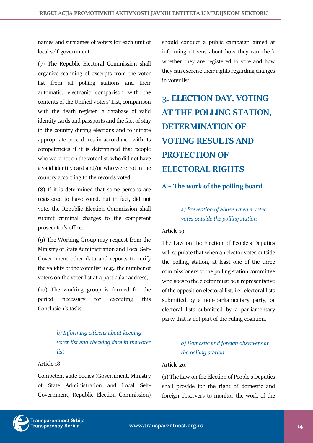names and surnames of voters for each unit of local self-government.

(7) The Republic Electoral Commission shall organize scanning of excerpts from the voter list from all polling stations and their automatic, electronic comparison with the contents of the Unified Voters' List, comparison with the death register, a database of valid identity cards and passports and the fact of stay in the country during elections and to initiate appropriate procedures in accordance with its competencies if it is determined that people who were not on the voter list, who did not have a valid identity card and/or who were not in the country according to the records voted.

(8) If it is determined that some persons are registered to have voted, but in fact, did not vote, the Republic Election Commission shall submit criminal charges to the competent prosecutor's office.

(9) The Working Group may request from the Ministry of State Administration and Local Self-Government other data and reports to verify the validity of the voter list. (e.g., the number of voters on the voter list at a particular address).

(10) The working group is formed for the period necessary for executing this Conclusion's tasks.

> <span id="page-13-0"></span>*b) Informing citizens about keeping voter list and checking data in the voter list*

# Article 18.

Competent state bodies (Government, Ministry of State Administration and Local Self-Government, Republic Election Commission) should conduct a public campaign aimed at informing citizens about how they can check whether they are registered to vote and how they can exercise their rights regarding changes in voter list.

# <span id="page-13-1"></span>**3. ELECTION DAY, VOTING AT THE POLLING STATION, DETERMINATION OF VOTING RESULTS AND PROTECTION OF ELECTORAL RIGHTS**

# <span id="page-13-2"></span>**A.– The work of the polling board**

# <span id="page-13-3"></span>*a) Prevention of abuse when a voter votes outside the polling station*

Article 19.

The Law on the Election of People's Deputies will stipulate that when an elector votes outside the polling station, at least one of the three commissioners of the polling station committee who goes to the elector must be a representative of the opposition electoral list, i.e., electoral lists submitted by a non-parliamentary party, or electoral lists submitted by a parliamentary party that is not part of the ruling coalition.

# <span id="page-13-4"></span>*b) Domestic and foreign observers at the polling station*

#### Article 20.

(1) The Law on the Election of People's Deputies shall provide for the right of domestic and foreign observers to monitor the work of the

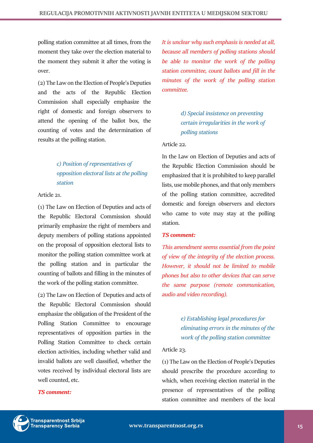polling station committee at all times, from the moment they take over the election material to the moment they submit it after the voting is over.

(2) The Law on the Election of People's Deputies and the acts of the Republic Election Commission shall especially emphasize the right of domestic and foreign observers to attend the opening of the ballot box, the counting of votes and the determination of results at the polling station.

# <span id="page-14-0"></span>*c) Position of representatives of opposition electoral lists at the polling station*

Article 21.

(1) The Law on Election of Deputies and acts of the Republic Electoral Commission should primarily emphasize the right of members and deputy members of polling stations appointed on the proposal of opposition electoral lists to monitor the polling station committee work at the polling station and in particular the counting of ballots and filling in the minutes of the work of the polling station committee.

(2) The Law on Election of Deputies and acts of the Republic Electoral Commission should emphasize the obligation of the President of the Polling Station Committee to encourage representatives of opposition parties in the Polling Station Committee to check certain election activities, including whether valid and invalid ballots are well classified, whether the votes received by individual electoral lists are well counted, etc.

# *TS comment:*

*It is unclear why such emphasis is needed at all, because all members of polling stations should be able to monitor the work of the polling station committee, count ballots and fill in the minutes of the work of the polling station committee.*

> <span id="page-14-1"></span>*d) Special insistence on preventing certain irregularities in the work of polling stations*

#### Article 22.

In the Law on Election of Deputies and acts of the Republic Election Commission should be emphasized that it is prohibited to keep parallel lists, use mobile phones, and that only members of the polling station committee, accredited domestic and foreign observers and electors who came to vote may stay at the polling station.

#### *TS comment:*

*This amendment seems essential from the point of view of the integrity of the election process. However, it should not be limited to mobile phones but also to other devices that can serve the same purpose (remote communication, audio and video recording).*

> <span id="page-14-2"></span>*e) Establishing legal procedures for eliminating errors in the minutes of the work of the polling station committee*

#### Article 23.

(1) The Law on the Election of People's Deputies should prescribe the procedure according to which, when receiving election material in the presence of representatives of the polling station committee and members of the local

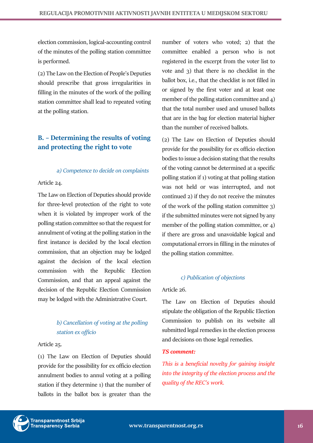election commission, logical-accounting control of the minutes of the polling station committee is performed.

(2) The Law on the Election of People's Deputies should prescribe that gross irregularities in filling in the minutes of the work of the polling station committee shall lead to repeated voting at the polling station.

# <span id="page-15-0"></span>**B. – Determining the results of voting and protecting the right to vote**

# *a) Competence to decide on complaints*

# <span id="page-15-1"></span>Article 24.

The Law on Election of Deputies should provide for three-level protection of the right to vote when it is violated by improper work of the polling station committee so that the request for annulment of voting at the polling station in the first instance is decided by the local election commission, that an objection may be lodged against the decision of the local election commission with the Republic Election Commission, and that an appeal against the decision of the Republic Election Commission may be lodged with the Administrative Court.

# <span id="page-15-2"></span>*b) Cancellation of voting at the polling station ex officio*

# Article 25.

(1) The Law on Election of Deputies should provide for the possibility for ex officio election annulment bodies to annul voting at a polling station if they determine 1) that the number of ballots in the ballot box is greater than the

number of voters who voted; 2) that the committee enabled a person who is not registered in the excerpt from the voter list to vote and 3) that there is no checklist in the ballot box, i.e., that the checklist is not filled in or signed by the first voter and at least one member of the polling station committee and 4) that the total number used and unused ballots that are in the bag for election material higher than the number of received ballots.

(2) The Law on Election of Deputies should provide for the possibility for ex officio election bodies to issue a decision stating that the results of the voting cannot be determined at a specific polling station if 1) voting at that polling station was not held or was interrupted, and not continued 2) if they do not receive the minutes of the work of the polling station committee 3) if the submitted minutes were not signed by any member of the polling station committee, or 4) if there are gross and unavoidable logical and computational errors in filling in the minutes of the polling station committee.

# *c) Publication of objections*

# <span id="page-15-3"></span>Article 26.

The Law on Election of Deputies should stipulate the obligation of the Republic Election Commission to publish on its website all submitted legal remedies in the election process and decisions on those legal remedies.

# *TS comment:*

*This is a beneficial novelty for gaining insight into the integrity of the election process and the quality of the REC's work.*

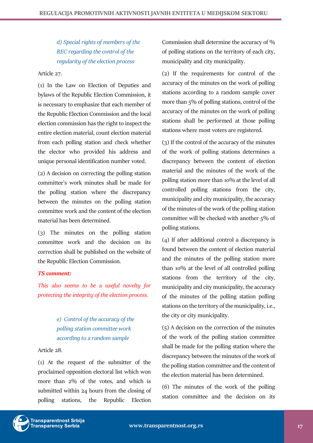<span id="page-16-0"></span>*d) Special rights of members of the REC regarding the control of the regularity of the election process*

# Article 27.

(1) In the Law on Election of Deputies and bylaws of the Republic Election Commission, it is necessary to emphasize that each member of the Republic Election Commission and the local election commission has the right to inspect the entire election material, count election material from each polling station and check whether the elector who provided his address and unique personal identification number voted.

(2) A decision on correcting the polling station committee's work minutes shall be made for the polling station where the discrepancy between the minutes on the polling station committee work and the content of the election material has been determined.

(3) The minutes on the polling station committee work and the decision on its correction shall be published on the website of the Republic Election Commission.

# *TS comment:*

*This also seems to be a useful novelty for protecting the integrity of the election process.*

# <span id="page-16-1"></span>*e) Control of the accuracy of the polling station committee work according to a random sample*

Article 28.

(1) At the request of the submitter of the proclaimed opposition electoral list which won more than 2% of the votes, and which is submitted within 24 hours from the closing of polling stations, the Republic Election

Commission shall determine the accuracy of % of polling stations on the territory of each city, municipality and city municipality.

(2) If the requirements for control of the accuracy of the minutes on the work of polling stations according to a random sample cover more than 5% of polling stations, control of the accuracy of the minutes on the work of polling stations shall be performed at those polling stations where most voters are registered.

(3) If the control of the accuracy of the minutes of the work of polling stations determines a discrepancy between the content of election material and the minutes of the work of the polling station more than 10% at the level of all controlled polling stations from the city, municipality and city municipality, the accuracy of the minutes of the work of the polling station committee will be checked with another 5% of polling stations.

(4) If after additional control a discrepancy is found between the content of election material and the minutes of the polling station more than 10% at the level of all controlled polling stations from the territory of the city, municipality and city municipality, the accuracy of the minutes of the polling station polling stations on the territory of the municipality, i.e., the city or city municipality.

(5) A decision on the correction of the minutes of the work of the polling station committee shall be made for the polling station where the discrepancy between the minutes of the work of the polling station committee and the content of the election material has been determined.

(6) The minutes of the work of the polling station committee and the decision on its

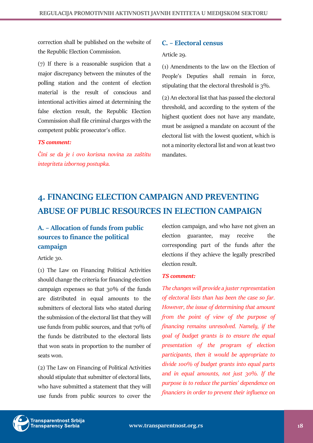correction shall be published on the website of the Republic Election Commission.

(7) If there is a reasonable suspicion that a major discrepancy between the minutes of the polling station and the content of election material is the result of conscious and intentional activities aimed at determining the false election result, the Republic Election Commission shall file criminal charges with the competent public prosecutor's office.

#### *TS comment:*

*Čini se da je i ovo korisna novina za zaštitu integriteta izbornog postupka.*

# <span id="page-17-0"></span>**C. – Electoral census**

#### Article 29.

(1) Amendments to the law on the Election of People's Deputies shall remain in force, stipulating that the electoral threshold is 3%.

(2) An electoral list that has passed the electoral threshold, and according to the system of the highest quotient does not have any mandate, must be assigned a mandate on account of the electoral list with the lowest quotient, which is not a minority electoral list and won at least two mandates.

# <span id="page-17-1"></span>**4. FINANCING ELECTION CAMPAIGN AND PREVENTING ABUSE OF PUBLIC RESOURCES IN ELECTION CAMPAIGN**

# <span id="page-17-2"></span>**A. – Allocation of funds from public sources to finance the political campaign**

Article 30.

(1) The Law on Financing Political Activities should change the criteria for financing election campaign expenses so that 30% of the funds are distributed in equal amounts to the submitters of electoral lists who stated during the submission of the electoral list that they will use funds from public sources, and that 70% of the funds be distributed to the electoral lists that won seats in proportion to the number of seats won.

(2) The Law on Financing of Political Activities should stipulate that submitter of electoral lists, who have submitted a statement that they will use funds from public sources to cover the election campaign, and who have not given an election guarantee, may receive the corresponding part of the funds after the elections if they achieve the legally prescribed election result.

#### *TS comment:*

*The changes will provide a juster representation of electoral lists than has been the case so far. However, the issue of determining that amount from the point of view of the purpose of financing remains unresolved. Namely, if the goal of budget grants is to ensure the equal presentation of the program of election participants, then it would be appropriate to divide 100% of budget grants into equal parts and in equal amounts, not just 30%. If the purpose is to reduce the parties' dependence on financiers in order to prevent their influence on* 

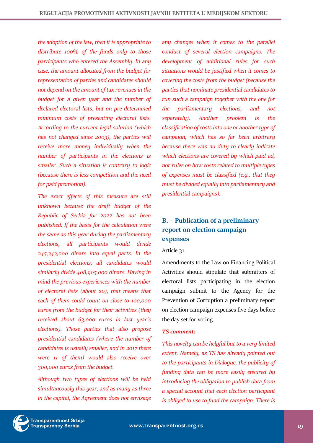*the adoption of the law, then it is appropriate to distribute 100% of the funds only to those participants who entered the Assembly. In any case, the amount allocated from the budget for representation of parties and candidates should not depend on the amount of tax revenues in the budget for a given year and the number of declared electoral lists, but on pre-determined minimum costs of presenting electoral lists. According to the current legal solution (which has not changed since 2003), the parties will receive more money individually when the number of participants in the elections is smaller. Such a situation is contrary to logic (because there is less competition and the need for paid promotion).*

*The exact effects of this measure are still unknown because the draft budget of the Republic of Serbia for 2022 has not been published. If the basis for the calculation were the same as this year during the parliamentary elections, all participants would divide 245,343,000 dinars into equal parts. In the presidential elections, all candidates would similarly divide 408,905,000 dinars. Having in mind the previous experiences with the number of electoral lists (about 20), that means that each of them could count on close to 100,000 euros from the budget for their activities (they received about 63,000 euros in last year's elections). Those parties that also propose presidential candidates (where the number of candidates is usually smaller, and in 2017 there were 11 of them) would also receive over 300,000 euros from the budget.*

*Although two types of elections will be held simultaneously this year, and as many as three in the capital, the Agreement does not envisage*  *any changes when it comes to the parallel conduct of several election campaigns. The development of additional rules for such situations would be justified when it comes to covering the costs from the budget (because the parties that nominate presidential candidates to run such a campaign together with the one for the parliamentary elections, and not separately). Another problem is the classification of costs into one or another type of campaign, which has so far been arbitrary because there was no duty to clearly indicate which elections are covered by which paid ad, nor rules on how costs related to multiple types of expenses must be classified (e.g., that they must be divided equally into parliamentary and presidential campaigns).*

# <span id="page-18-0"></span>**B. – Publication of a preliminary report on election campaign expenses**

#### Article 31.

Amendments to the Law on Financing Political Activities should stipulate that submitters of electoral lists participating in the election campaign submit to the Agency for the Prevention of Corruption a preliminary report on election campaign expenses five days before the day set for voting.

# *TS comment:*

*This novelty can be helpful but to a very limited extent. Namely, as TS has already pointed out to the participants in Dialogue, the publicity of funding data can be more easily ensured by introducing the obligation to publish data from a special account that each election participant is obliged to use to fund the campaign. There is* 

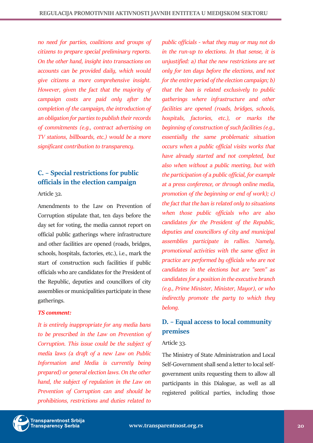*no need for parties, coalitions and groups of citizens to prepare special preliminary reports. On the other hand, insight into transactions on accounts can be provided daily, which would give citizens a more comprehensive insight. However, given the fact that the majority of campaign costs are paid only after the completion of the campaign, the introduction of an obligation for parties to publish their records of commitments (e.g., contract advertising on TV stations, billboards, etc.) would be a more significant contribution to transparency.*

# <span id="page-19-0"></span>**C. – Special restrictions for public officials in the election campaign**

Article 32.

Amendments to the Law on Prevention of Corruption stipulate that, ten days before the day set for voting, the media cannot report on official public gatherings where infrastructure and other facilities are opened (roads, bridges, schools, hospitals, factories, etc.), i.e., mark the start of construction such facilities if public officials who are candidates for the President of the Republic, deputies and councillors of city assemblies or municipalities participate in these gatherings.

#### *TS comment:*

*It is entirely inappropriate for any media bans to be prescribed in the Law on Prevention of Corruption. This issue could be the subject of media laws (a draft of a new Law on Public Information and Media is currently being prepared) or general election laws. On the other hand, the subject of regulation in the Law on Prevention of Corruption can and should be prohibitions, restrictions and duties related to* 

*public officials - what they may or may not do in the run-up to elections. In that sense, it is unjustified: a) that the new restrictions are set only for ten days before the elections, and not for the entire period of the election campaign; b) that the ban is related exclusively to public gatherings where infrastructure and other facilities are opened (roads, bridges, schools, hospitals, factories, etc.), or marks the beginning of construction of such facilities (e.g., essentially the same problematic situation occurs when a public official visits works that have already started and not completed, but also when without a public meeting, but with the participation of a public official, for example at a press conference, or through online media, promotion of the beginning or end of work); c) the fact that the ban is related only to situations when those public officials who are also candidates for the President of the Republic, deputies and councillors of city and municipal assemblies participate in rallies. Namely, promotional activities with the same effect in practice are performed by officials who are not candidates in the elections but are "seen" as candidates for a position in the executive branch (e.g., Prime Minister, Minister, Mayor), or who indirectly promote the party to which they belong.*

# <span id="page-19-1"></span>**D. – Equal access to local community premises**

#### Article 33.

The Ministry of State Administration and Local Self-Government shall send a letter to local selfgovernment units requesting them to allow all participants in this Dialogue, as well as all registered political parties, including those

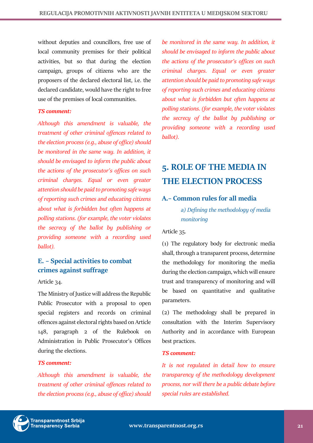without deputies and councillors, free use of local community premises for their political activities, but so that during the election campaign, groups of citizens who are the proposers of the declared electoral list, i.e. the declared candidate, would have the right to free use of the premises of local communities.

# *TS comment:*

*Although this amendment is valuable, the treatment of other criminal offences related to the election process (e.g., abuse of office) should be monitored in the same way. In addition, it should be envisaged to inform the public about the actions of the prosecutor's offices on such criminal charges. Equal or even greater attention should be paid to promoting safe ways of reporting such crimes and educating citizens about what is forbidden but often happens at polling stations. (for example, the voter violates the secrecy of the ballot by publishing or providing someone with a recording used ballot).*

# <span id="page-20-0"></span>**E. – Special activities to combat crimes against suffrage**

# Article 34.

The Ministry of Justice will address the Republic Public Prosecutor with a proposal to open special registers and records on criminal offences against electoral rights based on Article 148, paragraph 2 of the Rulebook on Administration in Public Prosecutor's Offices during the elections.

# *TS comment:*

*Although this amendment is valuable, the treatment of other criminal offences related to the election process (e.g., abuse of office) should*  *be monitored in the same way. In addition, it should be envisaged to inform the public about the actions of the prosecutor's offices on such criminal charges. Equal or even greater attention should be paid to promoting safe ways of reporting such crimes and educating citizens about what is forbidden but often happens at polling stations. (for example, the voter violates the secrecy of the ballot by publishing or providing someone with a recording used ballot).*

# <span id="page-20-1"></span>**5. ROLE OF THE MEDIA IN THE ELECTION PROCESS**

# <span id="page-20-3"></span><span id="page-20-2"></span>**A.– Common rules for all media**

*a) Defining the methodology of media monitoring*

Article 35.

(1) The regulatory body for electronic media shall, through a transparent process, determine the methodology for monitoring the media during the election campaign, which will ensure trust and transparency of monitoring and will be based on quantitative and qualitative parameters.

(2) The methodology shall be prepared in consultation with the Interim Supervisory Authority and in accordance with European best practices.

# *TS comment:*

*It is not regulated in detail how to ensure transparency of the methodology development process, nor will there be a public debate before special rules are established.*

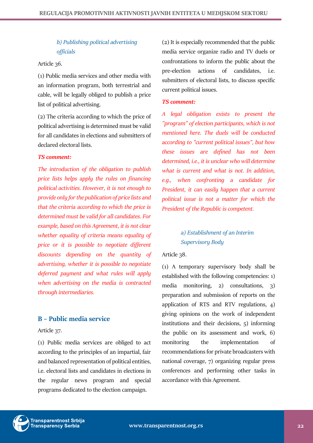# <span id="page-21-0"></span>*b) Publishing political advertising officials*

# Article 36.

(1) Public media services and other media with an information program, both terrestrial and cable, will be legally obliged to publish a price list of political advertising.

(2) The criteria according to which the price of political advertising is determined must be valid for all candidates in elections and submitters of declared electoral lists.

# *TS comment:*

*The introduction of the obligation to publish price lists helps apply the rules on financing political activities. However, it is not enough to provide only for the publication of price lists and that the criteria according to which the price is determined must be valid for all candidates. For example, based on this Agreement, it is not clear whether equality of criteria means equality of price or it is possible to negotiate different discounts depending on the quantity of advertising, whether it is possible to negotiate deferred payment and what rules will apply when advertising on the media is contracted through intermediaries.*

# <span id="page-21-1"></span>**B – Public media service**

Article 37.

(1) Public media services are obliged to act according to the principles of an impartial, fair and balanced representation of political entities, i.e. electoral lists and candidates in elections in the regular news program and special programs dedicated to the election campaign.

(2) It is especially recommended that the public media service organize radio and TV duels or confrontations to inform the public about the pre-election actions of candidates, i.e. submitters of electoral lists, to discuss specific current political issues.

# *TS comment:*

*A legal obligation exists to present the "program" of election participants, which is not mentioned here. The duels will be conducted according to "current political issues", but how these issues are defined has not been determined, i.e., it is unclear who will determine what is current and what is not. In addition, e.g., when confronting a candidate for President, it can easily happen that a current political issue is not a matter for which the President of the Republic is competent.*

# <span id="page-21-2"></span>*a) Establishment of an Interim Supervisory Body*

Article 38.

(1) A temporary supervisory body shall be established with the following competencies: 1) media monitoring, 2) consultations, 3) preparation and submission of reports on the application of RTS and RTV regulations, 4) giving opinions on the work of independent institutions and their decisions, 5) informing the public on its assessment and work, 6) monitoring the implementation of recommendations for private broadcasters with national coverage, 7) organizing regular press conferences and performing other tasks in accordance with this Agreement.

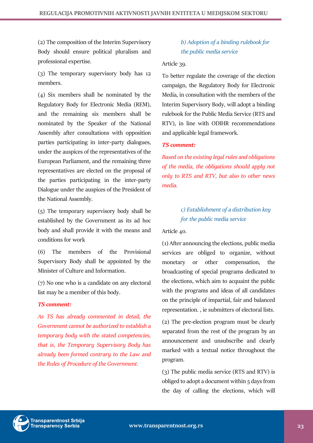(2) The composition of the Interim Supervisory Body should ensure political pluralism and professional expertise.

(3) The temporary supervisory body has 12 members.

(4) Six members shall be nominated by the Regulatory Body for Electronic Media (REM), and the remaining six members shall be nominated by the Speaker of the National Assembly after consultations with opposition parties participating in inter-party dialogues, under the auspices of the representatives of the European Parliament, and the remaining three representatives are elected on the proposal of the parties participating in the inter-party Dialogue under the auspices of the President of the National Assembly.

(5) The temporary supervisory body shall be established by the Government as its ad hoc body and shall provide it with the means and conditions for work

(6) The members of the Provisional Supervisory Body shall be appointed by the Minister of Culture and Information.

(7) No one who is a candidate on any electoral list may be a member of this body.

# *TS comment:*

*As TS has already commented in detail, the Government cannot be authorized to establish a temporary body with the stated competencies, that is, the Temporary Supervisory Body has already been formed contrary to the Law and the Rules of Procedure of the Government.*

# <span id="page-22-0"></span>*b) Adoption of a binding rulebook for the public media service*

# Article 39.

To better regulate the coverage of the election campaign, the Regulatory Body for Electronic Media, in consultation with the members of the Interim Supervisory Body, will adopt a binding rulebook for the Public Media Service (RTS and RTV), in line with ODIHR recommendations and applicable legal framework.

# *TS comment:*

*Based on the existing legal rules and obligations of the media, the obligations should apply not only to RTS and RTV, but also to other news media.*

# <span id="page-22-1"></span>*c) Establishment of a distribution key for the public media service*

Article 40.

(1) After announcing the elections, public media services are obliged to organize, without monetary or other compensation, the broadcasting of special programs dedicated to the elections, which aim to acquaint the public with the programs and ideas of all candidates on the principle of impartial, fair and balanced representation. , ie submitters of electoral lists.

(2) The pre-election program must be clearly separated from the rest of the program by an announcement and unsubscribe and clearly marked with a textual notice throughout the program.

(3) The public media service (RTS and RTV) is obliged to adopt a document within 5 days from the day of calling the elections, which will

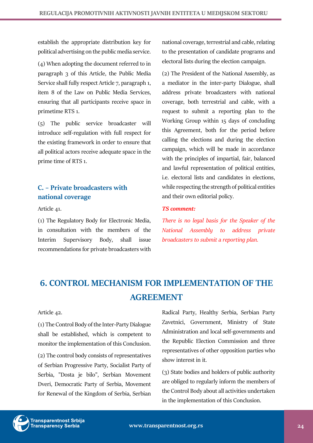establish the appropriate distribution key for political advertising on the public media service.

(4) When adopting the document referred to in paragraph 3 of this Article, the Public Media Service shall fully respect Article 7, paragraph 1, item 8 of the Law on Public Media Services, ensuring that all participants receive space in primetime RTS 1.

(5) The public service broadcaster will introduce self-regulation with full respect for the existing framework in order to ensure that all political actors receive adequate space in the prime time of RTS 1.

# <span id="page-23-0"></span>**C. – Private broadcasters with national coverage**

Article 41.

(1) The Regulatory Body for Electronic Media, in consultation with the members of the Interim Supervisory Body, shall issue recommendations for private broadcasters with

national coverage, terrestrial and cable, relating to the presentation of candidate programs and electoral lists during the election campaign.

(2) The President of the National Assembly, as a mediator in the inter-party Dialogue, shall address private broadcasters with national coverage, both terrestrial and cable, with a request to submit a reporting plan to the Working Group within 15 days of concluding this Agreement, both for the period before calling the elections and during the election campaign, which will be made in accordance with the principles of impartial, fair, balanced and lawful representation of political entities, i.e. electoral lists and candidates in elections, while respecting the strength of political entities and their own editorial policy.

#### *TS comment:*

*There is no legal basis for the Speaker of the National Assembly to address private broadcasters to submit a reporting plan.*

# <span id="page-23-1"></span>**6. CONTROL MECHANISM FOR IMPLEMENTATION OF THE AGREEMENT**

#### Article 42.

(1) The Control Body of the Inter-Party Dialogue shall be established, which is competent to monitor the implementation of this Conclusion.

(2) The control body consists of representatives of Serbian Progressive Party, Socialist Party of Serbia, "Dosta je bilo", Serbian Movement Dveri, Democratic Party of Serbia, Movement for Renewal of the Kingdom of Serbia, Serbian

Radical Party, Healthy Serbia, Serbian Party Zavetnici, Government, Ministry of State Administration and local self-governments and the Republic Election Commission and three representatives of other opposition parties who show interest in it.

(3) State bodies and holders of public authority are obliged to regularly inform the members of the Control Body about all activities undertaken in the implementation of this Conclusion.

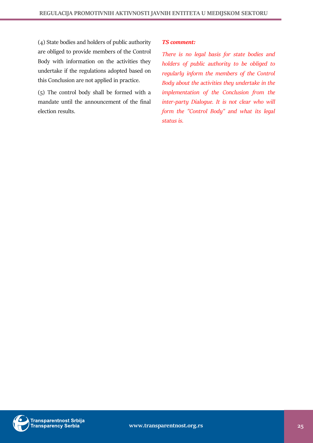(4) State bodies and holders of public authority are obliged to provide members of the Control Body with information on the activities they undertake if the regulations adopted based on this Conclusion are not applied in practice.

(5) The control body shall be formed with a mandate until the announcement of the final election results.

# *TS comment:*

*There is no legal basis for state bodies and holders of public authority to be obliged to regularly inform the members of the Control Body about the activities they undertake in the implementation of the Conclusion from the inter-party Dialogue. It is not clear who will form the "Control Body" and what its legal status is.*